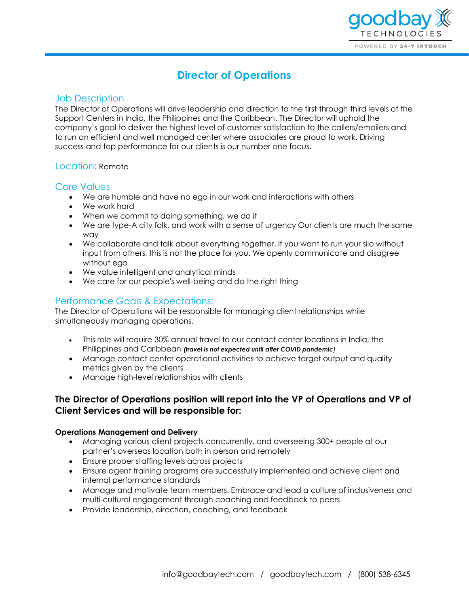

# **Director of Operations**

# Job Description

The Director of Operations will drive leadership and direction to the first through third levels of the Support Centers in India, the Philippines and the Caribbean. The Director will uphold the company's goal to deliver the highest level of customer satisfaction to the callers/emailers and to run an efficient and well managed center where associates are proud to work. Driving success and top performance for our clients is our number one focus.

## Location: Remote

## Core Values

- We are humble and have no ego in our work and interactions with others
- We work hard
- When we commit to doing something, we do it
- We are type-A city folk, and work with a sense of urgency Our clients are much the same way
- We collaborate and talk about everything together. If you want to run your silo without input from others, this is not the place for you. We openly communicate and disagree without ego
- We value intelligent and analytical minds
- We care for our people's well-being and do the right thing

# Performance Goals & Expectations:

The Director of Operations will be responsible for managing client relationships while simultaneously managing operations.

- This role will require 30% annual travel to our contact center locations in India, the Philippines and Caribbean *(travel is not expected until after COVID pandemic)*
- Manage contact center operational activities to achieve target output and quality metrics given by the clients
- Manage high-level relationships with clients

# **The Director of Operations position will report into the VP of Operations and VP of Client Services and will be responsible for:**

#### **Operations Management and Delivery**

- Managing various client projects concurrently, and overseeing 300+ people at our partner's overseas location both in person and remotely
- Ensure proper staffing levels across projects
- Ensure agent training programs are successfully implemented and achieve client and internal performance standards
- Manage and motivate team members. Embrace and lead a culture of inclusiveness and multi-cultural engagement through coaching and feedback to peers
- Provide leadership, direction, coaching, and feedback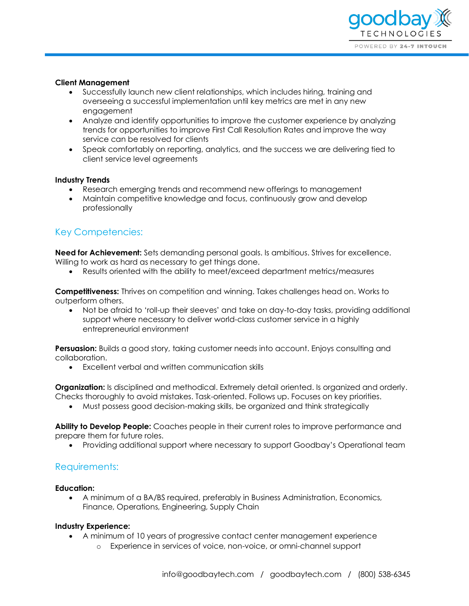

#### **Client Management**

- Successfully launch new client relationships, which includes hiring, training and overseeing a successful implementation until key metrics are met in any new engagement
- Analyze and identify opportunities to improve the customer experience by analyzing trends for opportunities to improve First Call Resolution Rates and improve the way service can be resolved for clients
- Speak comfortably on reporting, analytics, and the success we are delivering tied to client service level agreements

#### **Industry Trends**

- Research emerging trends and recommend new offerings to management
- Maintain competitive knowledge and focus, continuously grow and develop professionally

# Key Competencies:

**Need for Achievement:** Sets demanding personal goals. Is ambitious. Strives for excellence. Willing to work as hard as necessary to get things done.

• Results oriented with the ability to meet/exceed department metrics/measures

**Competitiveness:** Thrives on competition and winning. Takes challenges head on. Works to outperform others.

• Not be afraid to 'roll-up their sleeves' and take on day-to-day tasks, providing additional support where necessary to deliver world-class customer service in a highly entrepreneurial environment

**Persuasion:** Builds a good story, taking customer needs into account. Enjoys consulting and collaboration.

• Excellent verbal and written communication skills

**Organization:** Is disciplined and methodical. Extremely detail oriented. Is organized and orderly. Checks thoroughly to avoid mistakes. Task-oriented. Follows up. Focuses on key priorities.

• Must possess good decision-making skills, be organized and think strategically

**Ability to Develop People:** Coaches people in their current roles to improve performance and prepare them for future roles.

• Providing additional support where necessary to support Goodbay's Operational team

## Requirements:

#### **Education:**

• A minimum of a BA/BS required, preferably in Business Administration, Economics, Finance, Operations, Engineering, Supply Chain

#### **Industry Experience:**

- A minimum of 10 years of progressive contact center management experience
	- o Experience in services of voice, non-voice, or omni-channel support